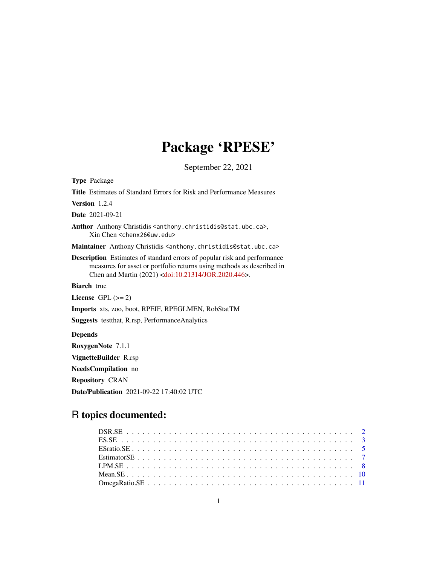## Package 'RPESE'

September 22, 2021

Type Package Title Estimates of Standard Errors for Risk and Performance Measures Version 1.2.4 Date 2021-09-21 Author Anthony Christidis <anthony.christidis@stat.ubc.ca>, Xin Chen <chenx26@uw.edu> Maintainer Anthony Christidis <anthony.christidis@stat.ubc.ca> Description Estimates of standard errors of popular risk and performance measures for asset or portfolio returns using methods as described in Chen and Martin (2021) [<doi:10.21314/JOR.2020.446>](https://doi.org/10.21314/JOR.2020.446). **Biarch** true License GPL  $(>= 2)$ Imports xts, zoo, boot, RPEIF, RPEGLMEN, RobStatTM Suggests testthat, R.rsp, PerformanceAnalytics Depends RoxygenNote 7.1.1 VignetteBuilder R.rsp NeedsCompilation no Repository CRAN Date/Publication 2021-09-22 17:40:02 UTC

### R topics documented: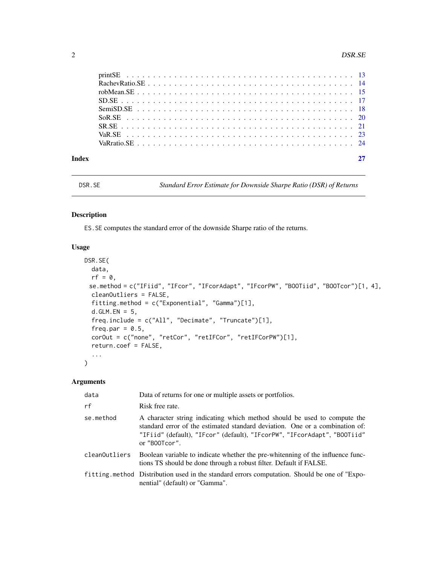<span id="page-1-0"></span>

| Index |  |
|-------|--|
|       |  |
|       |  |
|       |  |
|       |  |
|       |  |
|       |  |
|       |  |
|       |  |
|       |  |

DSR.SE *Standard Error Estimate for Downside Sharpe Ratio (DSR) of Returns*

#### Description

ES.SE computes the standard error of the downside Sharpe ratio of the returns.

#### Usage

```
DSR.SE(
  data,
  rf = 0,
 se.method = c("IFiid", "IFcor", "IFcorAdapt", "IFcorPW", "BOOTiid", "BOOTcor")[1, 4],
  cleanOutliers = FALSE,
  fitting.method = c("Exponential", "Gamma")[1],
  d.GLM.EN = 5,
  freq.include = c("All", "Decimate", "Truncate")[1],
  freq.par = 0.5,
  corOut = c("none", "retCor", "retIFCor", "retIFCorPW")[1],
  return.coef = FALSE,
  ...
\mathcal{L}
```

| data          | Data of returns for one or multiple assets or portfolios.                                                                                                                                                                                             |
|---------------|-------------------------------------------------------------------------------------------------------------------------------------------------------------------------------------------------------------------------------------------------------|
| rf            | Risk free rate.                                                                                                                                                                                                                                       |
| se.method     | A character string indicating which method should be used to compute the<br>standard error of the estimated standard deviation. One or a combination of:<br>"IFiid" (default), "IFcor" (default), "IFcorPW", "IFcorAdapt", "BOOTiid"<br>or "B00Tcor". |
| cleanOutliers | Boolean variable to indicate whether the pre-whitenning of the influence func-<br>tions TS should be done through a robust filter. Default if FALSE.                                                                                                  |
|               | fitting method Distribution used in the standard errors computation. Should be one of "Expo-<br>nential" (default) or "Gamma".                                                                                                                        |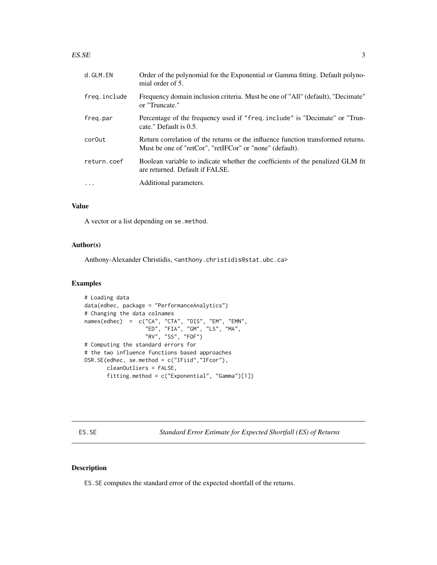#### <span id="page-2-0"></span> $ESSE$  3

| d.GLM.EN     | Order of the polynomial for the Exponential or Gamma fitting. Default polyno-<br>mial order of 5.                                            |
|--------------|----------------------------------------------------------------------------------------------------------------------------------------------|
| freg.include | Frequency domain inclusion criteria. Must be one of "All" (default), "Decimate"<br>or "Truncate."                                            |
| freq.par     | Percentage of the frequency used if "freq.include" is "Decimate" or "Trun-<br>cate." Default is 0.5.                                         |
| cor0ut       | Return correlation of the returns or the influence function transformed returns.<br>Must be one of "retCor", "retIFCor" or "none" (default). |
| return.coef  | Boolean variable to indicate whether the coefficients of the penalized GLM fit<br>are returned. Default if FALSE.                            |
| $\ddots$     | Additional parameters.                                                                                                                       |

#### Value

A vector or a list depending on se.method.

#### Author(s)

Anthony-Alexander Christidis, <anthony.christidis@stat.ubc.ca>

#### Examples

```
# Loading data
data(edhec, package = "PerformanceAnalytics")
# Changing the data colnames
names(edhec) = c("CA", "CTA", "DIS", "EM", "EMN",
                   "ED", "FIA", "GM", "LS", "MA",
                   "RV", "SS", "FOF")
# Computing the standard errors for
# the two influence functions based approaches
DSR.SE(edhec, se.method = c("IFiid","IFcor"),
       cleanOutliers = FALSE,
       fitting.method = c("Exponential", "Gamma")[1])
```
ES.SE *Standard Error Estimate for Expected Shortfall (ES) of Returns*

#### Description

ES.SE computes the standard error of the expected shortfall of the returns.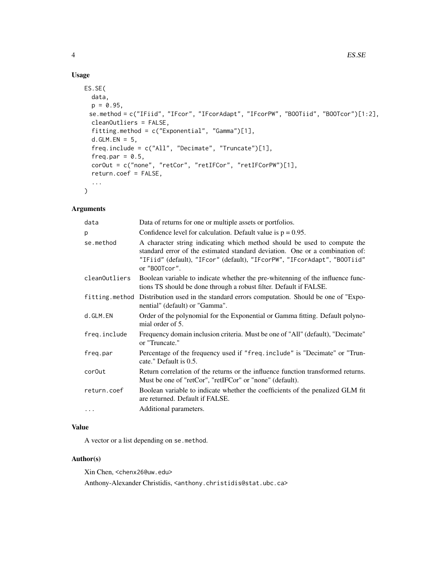#### Usage

```
ES.SE(
  data,
  p = 0.95,
 se.method = c("IFiid", "IFcor", "IFcorAdapt", "IFcorPW", "BOOTiid", "BOOTcor")[1:2],
  cleanOutliers = FALSE,
  fitting.method = c("Exponential", "Gamma")[1],
  d.GLM.EN = 5,
  freq.include = c("All", "Decimate", "Truncate")[1],
  freq.par = 0.5,
  corOut = c("none", "retCor", "retIFCor", "retIFCorPW")[1],
  return.coef = FALSE,
  ...
\mathcal{L}
```
#### Arguments

| data               | Data of returns for one or multiple assets or portfolios.                                                                                                                                                                                             |
|--------------------|-------------------------------------------------------------------------------------------------------------------------------------------------------------------------------------------------------------------------------------------------------|
| р                  | Confidence level for calculation. Default value is $p = 0.95$ .                                                                                                                                                                                       |
| se.method          | A character string indicating which method should be used to compute the<br>standard error of the estimated standard deviation. One or a combination of:<br>"IFiid" (default), "IFcor" (default), "IFcorPW", "IFcorAdapt", "BOOTiid"<br>or "B00Tcor". |
| cleanOutliers      | Boolean variable to indicate whether the pre-whitenning of the influence func-<br>tions TS should be done through a robust filter. Default if FALSE.                                                                                                  |
|                    | fitting method Distribution used in the standard errors computation. Should be one of "Expo-<br>nential" (default) or "Gamma".                                                                                                                        |
| d.GLM.EN           | Order of the polynomial for the Exponential or Gamma fitting. Default polyno-<br>mial order of 5.                                                                                                                                                     |
| freq.include       | Frequency domain inclusion criteria. Must be one of "All" (default), "Decimate"<br>or "Truncate."                                                                                                                                                     |
| freq.par           | Percentage of the frequency used if "freq.include" is "Decimate" or "Trun-<br>cate." Default is 0.5.                                                                                                                                                  |
| cor <sub>Out</sub> | Return correlation of the returns or the influence function transformed returns.<br>Must be one of "retCor", "retIFCor" or "none" (default).                                                                                                          |
| return.coef        | Boolean variable to indicate whether the coefficients of the penalized GLM fit<br>are returned. Default if FALSE.                                                                                                                                     |
| $\cdots$           | Additional parameters.                                                                                                                                                                                                                                |

#### Value

A vector or a list depending on se.method.

#### Author(s)

Xin Chen, <chenx26@uw.edu>

Anthony-Alexander Christidis, <anthony.christidis@stat.ubc.ca>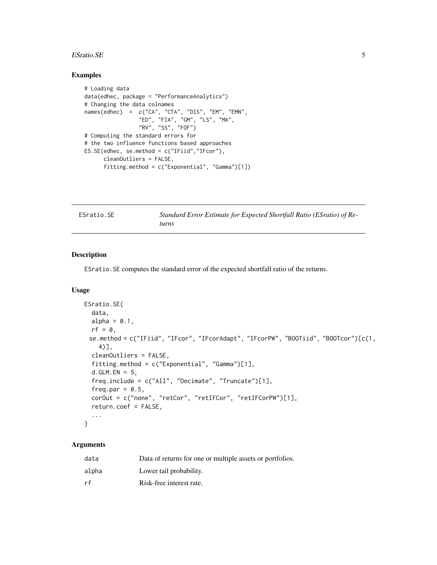#### <span id="page-4-0"></span>ESTatio.SE 5

#### Examples

```
# Loading data
data(edhec, package = "PerformanceAnalytics")
# Changing the data colnames
names(edhec) = c("CA", "CTA", "DIS", "EM", "EMN",
                 "ED", "FIA", "GM", "LS", "MA",
                 "RV", "SS", "FOF")
# Computing the standard errors for
# the two influence functions based approaches
ES.SE(edhec, se.method = c("IFiid","IFcor"),
      cleanOutliers = FALSE,
      fitting.method = c("Exponential", "Gamma")[1])
```

| ESratio.SE | Standard Error Estimate for Expected Shortfall Ratio (ESratio) of Re- |
|------------|-----------------------------------------------------------------------|
|            | turns                                                                 |

#### Description

ESratio.SE computes the standard error of the expected shortfall ratio of the returns.

#### Usage

```
ESratio.SE(
  data,
  alpha = 0.1,
 rf = 0,
 se.method = c("IFiid", "IFcor", "IFcorAdapt", "IFcorPW", "BOOTiid", "BOOTcor")[c(1,
    4)],
  cleanOutliers = FALSE,
  fitting.method = c("Exponential", "Gamma")[1],
  d.GLM.EN = 5,
  freq.include = c("All", "Decimate", "Truncate")[1],
  freq.par = 0.5,
  corOut = c("none", "retCor", "retIFCor", "retIFCorPW")[1],
  return.coef = FALSE,
  ...
\mathcal{L}
```

| data  | Data of returns for one or multiple assets or portfolios. |
|-------|-----------------------------------------------------------|
| alpha | Lower tail probability.                                   |
| rf    | Risk-free interest rate.                                  |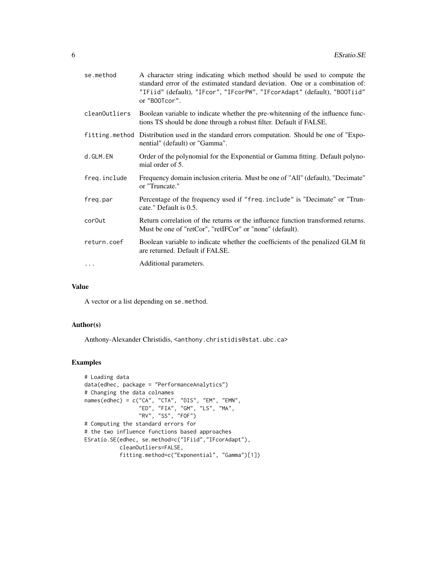| se.method     | A character string indicating which method should be used to compute the<br>standard error of the estimated standard deviation. One or a combination of:<br>"IFiid" (default), "IFcor", "IFcorPW", "IFcorAdapt" (default), "BOOTiid"<br>or "B00Tcor". |
|---------------|-------------------------------------------------------------------------------------------------------------------------------------------------------------------------------------------------------------------------------------------------------|
| cleanOutliers | Boolean variable to indicate whether the pre-whitenning of the influence func-<br>tions TS should be done through a robust filter. Default if FALSE.                                                                                                  |
|               | fitting method Distribution used in the standard errors computation. Should be one of "Expo-<br>nential" (default) or "Gamma".                                                                                                                        |
| d.GLM.EN      | Order of the polynomial for the Exponential or Gamma fitting. Default polyno-<br>mial order of 5.                                                                                                                                                     |
| freq.include  | Frequency domain inclusion criteria. Must be one of "All" (default), "Decimate"<br>or "Truncate."                                                                                                                                                     |
| freg.par      | Percentage of the frequency used if "freq.include" is "Decimate" or "Trun-<br>cate." Default is 0.5.                                                                                                                                                  |
| cor0ut        | Return correlation of the returns or the influence function transformed returns.<br>Must be one of "retCor", "retIFCor" or "none" (default).                                                                                                          |
| return.coef   | Boolean variable to indicate whether the coefficients of the penalized GLM fit<br>are returned. Default if FALSE.                                                                                                                                     |
| $\ddots$      | Additional parameters.                                                                                                                                                                                                                                |

#### Value

A vector or a list depending on se.method.

#### Author(s)

Anthony-Alexander Christidis, <anthony.christidis@stat.ubc.ca>

```
# Loading data
data(edhec, package = "PerformanceAnalytics")
# Changing the data colnames
names(edhec) = c("CA", "CTA", "DIS", "EM", "EMN",
                 "ED", "FIA", "GM", "LS", "MA",
                 "RV", "SS", "FOF")
# Computing the standard errors for
# the two influence functions based approaches
ESratio.SE(edhec, se.method=c("IFiid","IFcorAdapt"),
           cleanOutliers=FALSE,
           fitting.method=c("Exponential", "Gamma")[1])
```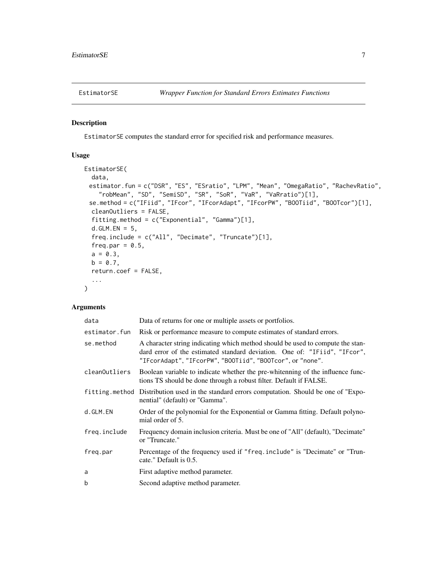<span id="page-6-0"></span>

#### Description

EstimatorSE computes the standard error for specified risk and performance measures.

#### Usage

```
EstimatorSE(
  data,
 estimator.fun = c("DSR", "ES", "ESratio", "LPM", "Mean", "OmegaRatio", "RachevRatio",
    "robMean", "SD", "SemiSD", "SR", "SoR", "VaR", "VaRratio")[1],
 se.method = c("IFiid", "IFcor", "IFcorAdapt", "IFcorPW", "BOOTiid", "BOOTcor")[1],
  cleanOutliers = FALSE,
  fitting.method = c("Exponential", "Gamma")[1],
  d.GLM.FN = 5,
  freq.include = c("All", "Decimate", "Truncate")[1],
  freq.par = 0.5,
 a = 0.3,
 b = 0.7,
  return.coef = FALSE,
  ...
\mathcal{L}
```

| data          | Data of returns for one or multiple assets or portfolios.                                                                                                                                                                |
|---------------|--------------------------------------------------------------------------------------------------------------------------------------------------------------------------------------------------------------------------|
| estimator.fun | Risk or performance measure to compute estimates of standard errors.                                                                                                                                                     |
| se.method     | A character string indicating which method should be used to compute the stan-<br>dard error of the estimated standard deviation. One of: "IFiid", "IFcor",<br>"IFcorAdapt", "IFcorPW", "BOOTiid", "BOOTcor", or "none". |
| cleanOutliers | Boolean variable to indicate whether the pre-whitenning of the influence func-<br>tions TS should be done through a robust filter. Default if FALSE.                                                                     |
|               | fitting method Distribution used in the standard errors computation. Should be one of "Expo-<br>nential" (default) or "Gamma".                                                                                           |
| d.GLM.EN      | Order of the polynomial for the Exponential or Gamma fitting. Default polyno-<br>mial order of 5.                                                                                                                        |
| freg.include  | Frequency domain inclusion criteria. Must be one of "All" (default), "Decimate"<br>or "Truncate."                                                                                                                        |
| freg.par      | Percentage of the frequency used if "freq.include" is "Decimate" or "Trun-<br>cate." Default is 0.5.                                                                                                                     |
| a             | First adaptive method parameter.                                                                                                                                                                                         |
| b             | Second adaptive method parameter.                                                                                                                                                                                        |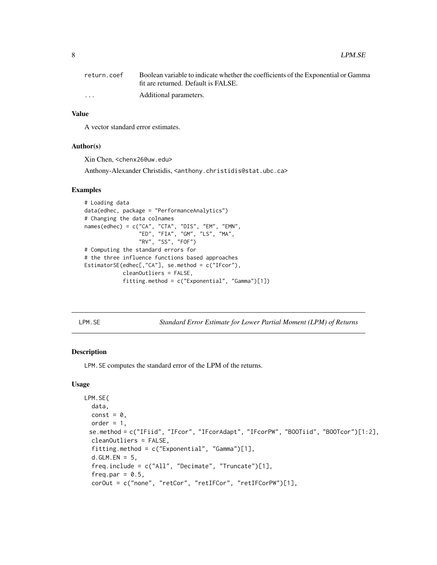<span id="page-7-0"></span>

| return.coef             | Boolean variable to indicate whether the coefficients of the Exponential or Gamma |
|-------------------------|-----------------------------------------------------------------------------------|
|                         | fit are returned. Default is FALSE.                                               |
| $\cdot$ $\cdot$ $\cdot$ | Additional parameters.                                                            |

#### Value

A vector standard error estimates.

#### Author(s)

Xin Chen, <chenx26@uw.edu>

Anthony-Alexander Christidis, <anthony.christidis@stat.ubc.ca>

#### Examples

```
# Loading data
data(edhec, package = "PerformanceAnalytics")
# Changing the data colnames
names(edhec) = c("CA", "CTA", "DIS", "EM", "EMN",
                 "ED", "FIA", "GM", "LS", "MA",
                 "RV", "SS", "FOF")
# Computing the standard errors for
# the three influence functions based approaches
EstimatorSE(edhec[,"CA"], se.method = c("IFcor"),
            cleanOutliers = FALSE,
            fitting.method = c("Exponential", "Gamma")[1])
```
LPM.SE *Standard Error Estimate for Lower Partial Moment (LPM) of Returns*

#### Description

LPM.SE computes the standard error of the LPM of the returns.

#### Usage

```
LPM.SE(
  data,
  const = \theta,
  order = 1,
 se.method = c("IFiid", "IFcor", "IFcorAdapt", "IFcorPW", "BOOTiid", "BOOTcor")[1:2],
  cleanOutliers = FALSE,
  fitting.method = c("Exponential", "Gamma")[1],
  d.GLM.EN = 5,
  freq.include = c("All", "Decimate", "Truncate")[1],
  freq.par = 0.5,
  corOut = c("none", "retCor", "retIFCor", "retIFCorPW")[1],
```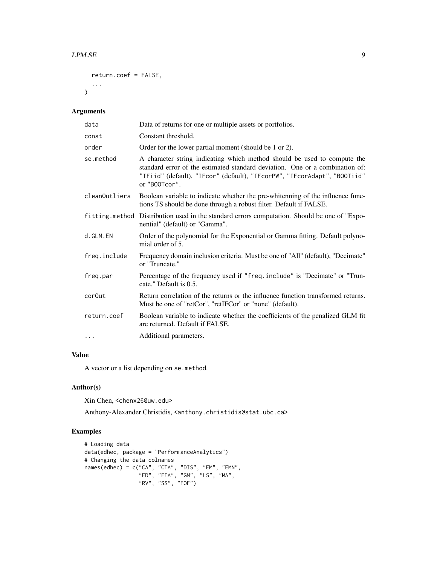```
return.coef = FALSE,
  ...
\mathcal{L}
```
#### Arguments

| data               | Data of returns for one or multiple assets or portfolios.                                                                                                                                                                                             |
|--------------------|-------------------------------------------------------------------------------------------------------------------------------------------------------------------------------------------------------------------------------------------------------|
| const              | Constant threshold.                                                                                                                                                                                                                                   |
| order              | Order for the lower partial moment (should be 1 or 2).                                                                                                                                                                                                |
| se.method          | A character string indicating which method should be used to compute the<br>standard error of the estimated standard deviation. One or a combination of:<br>"IFiid" (default), "IFcor" (default), "IFcorPW", "IFcorAdapt", "BOOTiid"<br>or "B00Tcor". |
| cleanOutliers      | Boolean variable to indicate whether the pre-whitenning of the influence func-<br>tions TS should be done through a robust filter. Default if FALSE.                                                                                                  |
|                    | fitting.method Distribution used in the standard errors computation. Should be one of "Expo-<br>nential" (default) or "Gamma".                                                                                                                        |
| d.GLM.EN           | Order of the polynomial for the Exponential or Gamma fitting. Default polyno-<br>mial order of 5.                                                                                                                                                     |
| freq.include       | Frequency domain inclusion criteria. Must be one of "All" (default), "Decimate"<br>or "Truncate."                                                                                                                                                     |
| freq.par           | Percentage of the frequency used if "freq.include" is "Decimate" or "Trun-<br>cate." Default is 0.5.                                                                                                                                                  |
| cor <sub>Out</sub> | Return correlation of the returns or the influence function transformed returns.<br>Must be one of "retCor", "retIFCor" or "none" (default).                                                                                                          |
| return.coef        | Boolean variable to indicate whether the coefficients of the penalized GLM fit<br>are returned. Default if FALSE.                                                                                                                                     |
| $\cdots$           | Additional parameters.                                                                                                                                                                                                                                |

#### Value

A vector or a list depending on se.method.

#### Author(s)

Xin Chen, <chenx26@uw.edu>

Anthony-Alexander Christidis, <anthony.christidis@stat.ubc.ca>

```
# Loading data
data(edhec, package = "PerformanceAnalytics")
# Changing the data colnames
names(edhec) = c("CA", "CTA", "DIS", "EM", "EMN",
                 "ED", "FIA", "GM", "LS", "MA",
                 "RV", "SS", "FOF")
```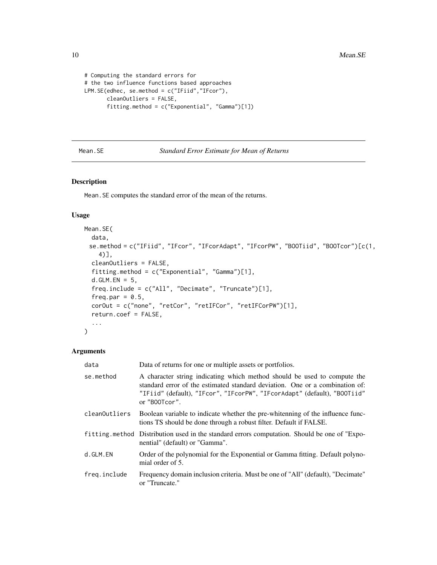```
# Computing the standard errors for
# the two influence functions based approaches
LPM.SE(edhec, se.method = c("IFiid","IFcor"),
       cleanOutliers = FALSE,
       fitting.method = c("Exponential", "Gamma")[1])
```
Mean.SE *Standard Error Estimate for Mean of Returns*

#### Description

Mean.SE computes the standard error of the mean of the returns.

#### Usage

```
Mean.SE(
  data,
 se.method = c("IFiid", "IFcor", "IFcorAdapt", "IFcorPW", "BOOTiid", "BOOTcor")[c(1,
    4)],
  cleanOutliers = FALSE,
  fitting.method = c("Exponential", "Gamma")[1],
  d.GLM.EN = 5,
  freq.include = c("All", "Decimate", "Truncate")[1],
  freq.par = 0.5,
  corOut = c("none", "retCor", "retIFCor", "retIFCorPW")[1],
  return.coef = FALSE,
  ...
)
```

| data          | Data of returns for one or multiple assets or portfolios.                                                                                                                                                                                             |
|---------------|-------------------------------------------------------------------------------------------------------------------------------------------------------------------------------------------------------------------------------------------------------|
| se.method     | A character string indicating which method should be used to compute the<br>standard error of the estimated standard deviation. One or a combination of:<br>"IFiid" (default), "IFcor", "IFcorPW", "IFcorAdapt" (default), "BOOTiid"<br>or "B00Tcor". |
| cleanOutliers | Boolean variable to indicate whether the pre-whitenning of the influence func-<br>tions TS should be done through a robust filter. Default if FALSE.                                                                                                  |
|               | fitting method Distribution used in the standard errors computation. Should be one of "Expo-<br>nential" (default) or "Gamma".                                                                                                                        |
| d.GLM.EN      | Order of the polynomial for the Exponential or Gamma fitting. Default polyno-<br>mial order of 5.                                                                                                                                                     |
| freg.include  | Frequency domain inclusion criteria. Must be one of "All" (default), "Decimate"<br>or "Truncate."                                                                                                                                                     |

<span id="page-9-0"></span>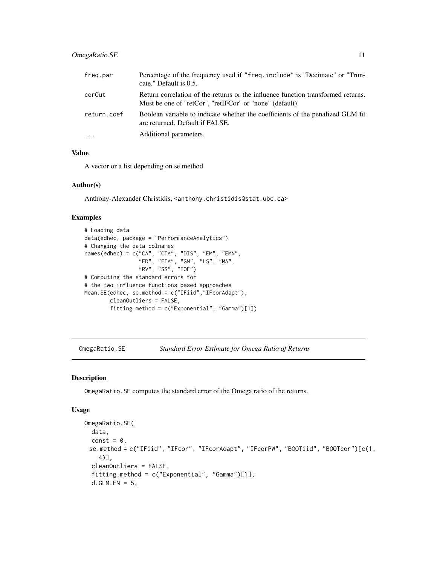#### <span id="page-10-0"></span>OmegaRatio.SE 11

| freg.par    | Percentage of the frequency used if "freq.include" is "Decimate" or "Trun-<br>cate." Default is 0.5.                                         |
|-------------|----------------------------------------------------------------------------------------------------------------------------------------------|
| cor0ut      | Return correlation of the returns or the influence function transformed returns.<br>Must be one of "retCor", "retIFCor" or "none" (default). |
| return.coef | Boolean variable to indicate whether the coefficients of the penalized GLM fit<br>are returned. Default if FALSE.                            |
| $\ddots$    | Additional parameters.                                                                                                                       |

#### Value

A vector or a list depending on se.method

#### Author(s)

Anthony-Alexander Christidis, <anthony.christidis@stat.ubc.ca>

#### Examples

```
# Loading data
data(edhec, package = "PerformanceAnalytics")
# Changing the data colnames
names(edhec) = c("CA", "CTA", "DIS", "EM", "EMN",
                 "ED", "FIA", "GM", "LS", "MA",
                 "RV", "SS", "FOF")
# Computing the standard errors for
# the two influence functions based approaches
Mean.SE(edhec, se.method = c("IFiid","IFcorAdapt"),
        cleanOutliers = FALSE,
        fitting.method = c("Exponential", "Gamma")[1])
```
OmegaRatio.SE *Standard Error Estimate for Omega Ratio of Returns*

#### Description

OmegaRatio.SE computes the standard error of the Omega ratio of the returns.

#### Usage

```
OmegaRatio.SE(
  data,
  const = \theta,
 se.method = c("IFiid", "IFcor", "IFcorAdapt", "IFcorPW", "BOOTiid", "BOOTcor")[c(1,
    4)],
 cleanOutliers = FALSE,
  fitting.method = c("Exponential", "Gamma")[1],
  d.GLM.EN = 5,
```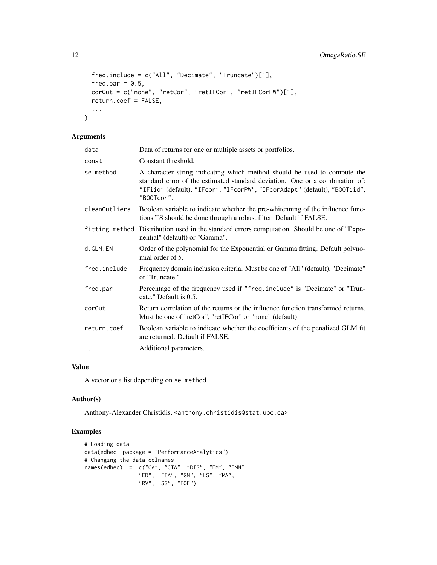```
freq.include = c("All", "Decimate", "Truncate")[1],
  freq.par = 0.5,
 corOut = c("none", "retCor", "retIFCor", "retIFCorPW")[1],
 return.coef = FALSE,
  ...
\mathcal{L}
```
#### Arguments

| Data of returns for one or multiple assets or portfolios.                                                                                                                                                                                           |
|-----------------------------------------------------------------------------------------------------------------------------------------------------------------------------------------------------------------------------------------------------|
| Constant threshold.                                                                                                                                                                                                                                 |
| A character string indicating which method should be used to compute the<br>standard error of the estimated standard deviation. One or a combination of:<br>"IFiid" (default), "IFcor", "IFcorPW", "IFcorAdapt" (default), "BOOTiid",<br>"B00Tcor". |
| Boolean variable to indicate whether the pre-whitenning of the influence func-<br>tions TS should be done through a robust filter. Default if FALSE.                                                                                                |
| fitting method Distribution used in the standard errors computation. Should be one of "Expo-<br>nential" (default) or "Gamma".                                                                                                                      |
| Order of the polynomial for the Exponential or Gamma fitting. Default polyno-<br>mial order of 5.                                                                                                                                                   |
| Frequency domain inclusion criteria. Must be one of "All" (default), "Decimate"<br>or "Truncate."                                                                                                                                                   |
| Percentage of the frequency used if "freq.include" is "Decimate" or "Trun-<br>cate." Default is 0.5.                                                                                                                                                |
| Return correlation of the returns or the influence function transformed returns.<br>Must be one of "retCor", "retIFCor" or "none" (default).                                                                                                        |
| Boolean variable to indicate whether the coefficients of the penalized GLM fit<br>are returned. Default if FALSE.                                                                                                                                   |
| Additional parameters.                                                                                                                                                                                                                              |
|                                                                                                                                                                                                                                                     |

#### Value

A vector or a list depending on se.method.

#### Author(s)

Anthony-Alexander Christidis, <anthony.christidis@stat.ubc.ca>

```
# Loading data
data(edhec, package = "PerformanceAnalytics")
# Changing the data colnames
names(edhec) = c("CA", "CTA", "DIS", "EM", "EMN",
                 "ED", "FIA", "GM", "LS", "MA",
                 "RV", "SS", "FOF")
```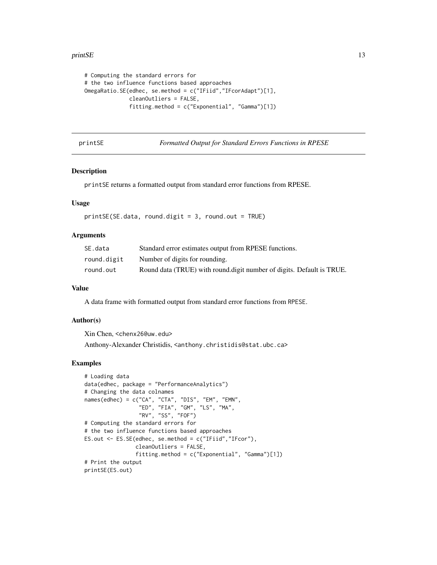#### <span id="page-12-0"></span>printSE 23

```
# Computing the standard errors for
# the two influence functions based approaches
OmegaRatio.SE(edhec, se.method = c("IFiid","IFcorAdapt")[1],
              cleanOutliers = FALSE,
              fitting.method = c("Exponential", "Gamma")[1])
```
printSE *Formatted Output for Standard Errors Functions in RPESE*

#### Description

printSE returns a formatted output from standard error functions from RPESE.

#### Usage

```
printsE(SE.data, round-digit = 3, round.out = TRUE)
```
#### Arguments

| SE.data     | Standard error estimates output from RPESE functions.                 |
|-------------|-----------------------------------------------------------------------|
| round.digit | Number of digits for rounding.                                        |
| round.out   | Round data (TRUE) with round digit number of digits. Default is TRUE. |

#### Value

A data frame with formatted output from standard error functions from RPESE.

#### Author(s)

Xin Chen, <chenx26@uw.edu>

Anthony-Alexander Christidis, <anthony.christidis@stat.ubc.ca>

```
# Loading data
data(edhec, package = "PerformanceAnalytics")
# Changing the data colnames
names(edhec) = c("CA", "CTA", "DIS", "EM", "EMN",
                 "ED", "FIA", "GM", "LS", "MA",
                 "RV", "SS", "FOF")
# Computing the standard errors for
# the two influence functions based approaches
ES.out <- ES.SE(edhec, se.method = c("IFiid","IFcor"),
                cleanOutliers = FALSE,
                fitting.method = c("Exponential", "Gamma")[1])
# Print the output
printSE(ES.out)
```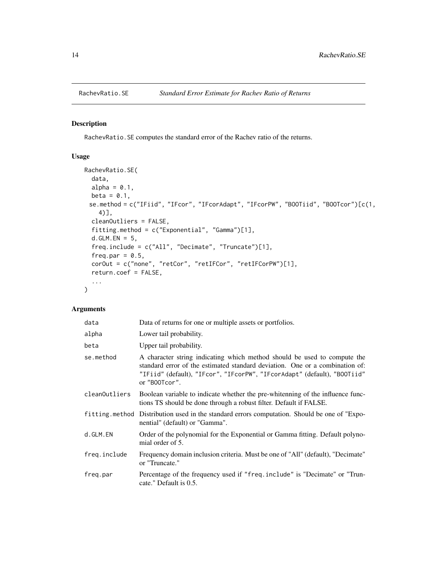<span id="page-13-0"></span>

#### Description

RachevRatio.SE computes the standard error of the Rachev ratio of the returns.

#### Usage

```
RachevRatio.SE(
 data,
 alpha = 0.1,
 beta = 0.1,
 se.method = c("IFiid", "IFcor", "IFcorAdapt", "IFcorPW", "BOOTiid", "BOOTcor")[c(1,
    4)],
 cleanOutliers = FALSE,
  fitting.method = c("Exponential", "Gamma")[1],
  d.GLM.EN = 5,
  freq.include = c("All", "Decimate", "Truncate")[1],
  freq.par = 0.5,
 corOut = c("none", "retCor", "retIFCor", "retIFCorPW")[1],
 return.coef = FALSE,
  ...
\mathcal{L}
```

| data          | Data of returns for one or multiple assets or portfolios.                                                                                                                                                                                             |
|---------------|-------------------------------------------------------------------------------------------------------------------------------------------------------------------------------------------------------------------------------------------------------|
| alpha         | Lower tail probability.                                                                                                                                                                                                                               |
| beta          | Upper tail probability.                                                                                                                                                                                                                               |
| se.method     | A character string indicating which method should be used to compute the<br>standard error of the estimated standard deviation. One or a combination of:<br>"IFiid" (default), "IFcor", "IFcorPW", "IFcorAdapt" (default), "BOOTiid"<br>or "B00Tcor". |
| cleanOutliers | Boolean variable to indicate whether the pre-whitenning of the influence func-<br>tions TS should be done through a robust filter. Default if FALSE.                                                                                                  |
|               | fitting method Distribution used in the standard errors computation. Should be one of "Expo-<br>nential" (default) or "Gamma".                                                                                                                        |
| d.GLM.EN      | Order of the polynomial for the Exponential or Gamma fitting. Default polyno-<br>mial order of 5.                                                                                                                                                     |
| freq.include  | Frequency domain inclusion criteria. Must be one of "All" (default), "Decimate"<br>or "Truncate."                                                                                                                                                     |
| freg.par      | Percentage of the frequency used if "freq.include" is "Decimate" or "Trun-<br>cate." Default is 0.5.                                                                                                                                                  |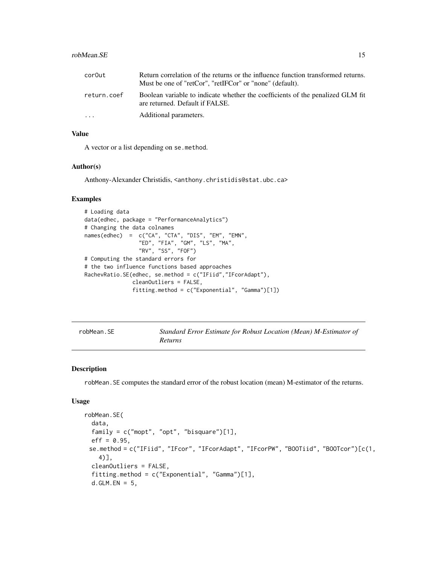#### <span id="page-14-0"></span>robMean.SE 15

| cor0ut      | Return correlation of the returns or the influence function transformed returns.<br>Must be one of "retCor", "retIFCor" or "none" (default). |
|-------------|----------------------------------------------------------------------------------------------------------------------------------------------|
| return.coef | Boolean variable to indicate whether the coefficients of the penalized GLM fit<br>are returned. Default if FALSE.                            |
| $\ddotsc$   | Additional parameters.                                                                                                                       |

#### Value

A vector or a list depending on se.method.

#### Author(s)

Anthony-Alexander Christidis, <anthony.christidis@stat.ubc.ca>

#### Examples

```
# Loading data
data(edhec, package = "PerformanceAnalytics")
# Changing the data colnames
names(edhec) = c("CA", "CTA", "DIS", "EM", "EMN",
                 "ED", "FIA", "GM", "LS", "MA",
                 "RV", "SS", "FOF")
# Computing the standard errors for
# the two influence functions based approaches
RachevRatio.SE(edhec, se.method = c("IFiid","IFcorAdapt"),
               cleanOutliers = FALSE,
               fitting.method = c("Exponential", "Gamma")[1])
```
robMean.SE *Standard Error Estimate for Robust Location (Mean) M-Estimator of Returns*

#### Description

robMean.SE computes the standard error of the robust location (mean) M-estimator of the returns.

#### Usage

```
robMean.SE(
  data,
  family = c("mopt", "opt", "bisquare")[1],
  eff = 0.95,
 se.method = c("IFiid", "IFcor", "IFcorAdapt", "IFcorPW", "BOOTiid", "BOOTcor")[c(1,
    4)],
  cleanOutliers = FALSE,
  fitting.method = c("Exponential", "Gamma")[1],
  d.GLM.EN = 5,
```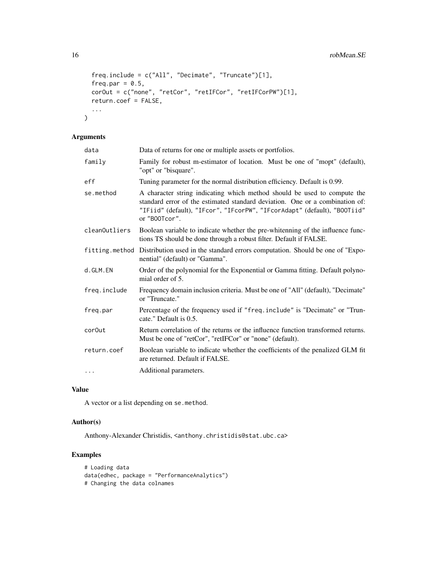```
freq.include = c("All", "Decimate", "Truncate")[1],
  freq.par = 0.5,
 corOut = c("none", "retCor", "retIFCor", "retIFCorPW")[1],
  return.coef = FALSE,
  ...
\mathcal{L}
```
#### Arguments

| data               | Data of returns for one or multiple assets or portfolios.                                                                                                                                                                                             |
|--------------------|-------------------------------------------------------------------------------------------------------------------------------------------------------------------------------------------------------------------------------------------------------|
| family             | Family for robust m-estimator of location. Must be one of "mopt" (default),<br>"opt" or "bisquare".                                                                                                                                                   |
| eff                | Tuning parameter for the normal distribution efficiency. Default is 0.99.                                                                                                                                                                             |
| se.method          | A character string indicating which method should be used to compute the<br>standard error of the estimated standard deviation. One or a combination of:<br>"IFiid" (default), "IFcor", "IFcorPW", "IFcorAdapt" (default), "BOOTiid"<br>or "B00Tcor". |
| cleanOutliers      | Boolean variable to indicate whether the pre-whitenning of the influence func-<br>tions TS should be done through a robust filter. Default if FALSE.                                                                                                  |
|                    | fitting. method Distribution used in the standard errors computation. Should be one of "Expo-<br>nential" (default) or "Gamma".                                                                                                                       |
| d.GLM.EN           | Order of the polynomial for the Exponential or Gamma fitting. Default polyno-<br>mial order of 5.                                                                                                                                                     |
| freq.include       | Frequency domain inclusion criteria. Must be one of "All" (default), "Decimate"<br>or "Truncate."                                                                                                                                                     |
| freg.par           | Percentage of the frequency used if "freq.include" is "Decimate" or "Trun-<br>cate." Default is 0.5.                                                                                                                                                  |
| cor <sub>Out</sub> | Return correlation of the returns or the influence function transformed returns.<br>Must be one of "retCor", "retIFCor" or "none" (default).                                                                                                          |
| return.coef        | Boolean variable to indicate whether the coefficients of the penalized GLM fit<br>are returned. Default if FALSE.                                                                                                                                     |
| $\cdots$           | Additional parameters.                                                                                                                                                                                                                                |

#### Value

A vector or a list depending on se.method.

#### Author(s)

Anthony-Alexander Christidis, <anthony.christidis@stat.ubc.ca>

```
# Loading data
data(edhec, package = "PerformanceAnalytics")
# Changing the data colnames
```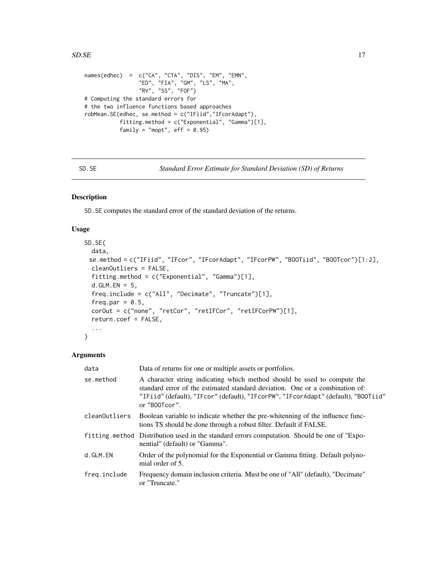```
names(edhec) = c("CA", "CTA", "DIS", "EM", "EMN",
                 "ED", "FIA", "GM", "LS", "MA",
                 "RV", "SS", "FOF")
# Computing the standard errors for
# the two influence functions based approaches
robMean.SE(edhec, se.method = c("IFiid","IFcorAdapt"),
          fitting.method = c("Exponential", "Gamma")[1],
          family = "mopt", eff = 0.95)
```
SD.SE *Standard Error Estimate for Standard Deviation (SD) of Returns*

#### Description

SD.SE computes the standard error of the standard deviation of the returns.

#### Usage

```
SD.SE(
 data,
 se.method = c("IFiid", "IFcor", "IFcorAdapt", "IFcorPW", "BOOTiid", "BOOTcor")[1:2],
 cleanOutliers = FALSE,
  fitting.method = c("Exponential", "Gamma")[1],
 d.GLM.FN = 5,
  freq.include = c("All", "Decimate", "Truncate")[1],
  freq.par = 0.5,
 corOut = c("none", "retCor", "retIFCor", "retIFCorPW")[1],
  return.coef = FALSE,
  ...
)
```

| data          | Data of returns for one or multiple assets or portfolios.                                                                                                                                                                                                       |
|---------------|-----------------------------------------------------------------------------------------------------------------------------------------------------------------------------------------------------------------------------------------------------------------|
| se.method     | A character string indicating which method should be used to compute the<br>standard error of the estimated standard deviation. One or a combination of:<br>"IFiid" (default), "IFcor" (default), "IFcorPW", "IFcorAdapt" (default), "BOOTiid"<br>or "B00Tcor". |
| cleanOutliers | Boolean variable to indicate whether the pre-whitenning of the influence func-<br>tions TS should be done through a robust filter. Default if FALSE.                                                                                                            |
|               | fitting method Distribution used in the standard errors computation. Should be one of "Expo-<br>nential" (default) or "Gamma".                                                                                                                                  |
| d.GLM.EN      | Order of the polynomial for the Exponential or Gamma fitting. Default polyno-<br>mial order of 5.                                                                                                                                                               |
| freq.include  | Frequency domain inclusion criteria. Must be one of "All" (default), "Decimate"<br>or "Truncate."                                                                                                                                                               |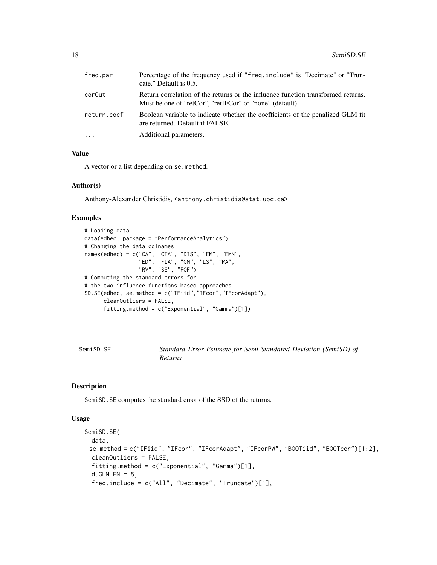<span id="page-17-0"></span>

| freg.par    | Percentage of the frequency used if "freq.include" is "Decimate" or "Trun-<br>cate." Default is 0.5.                                         |
|-------------|----------------------------------------------------------------------------------------------------------------------------------------------|
| cor0ut      | Return correlation of the returns or the influence function transformed returns.<br>Must be one of "retCor", "retIFCor" or "none" (default). |
| return.coef | Boolean variable to indicate whether the coefficients of the penalized GLM fit<br>are returned. Default if FALSE.                            |
| $\ddots$ .  | Additional parameters.                                                                                                                       |

#### Value

A vector or a list depending on se.method.

#### Author(s)

Anthony-Alexander Christidis, <anthony.christidis@stat.ubc.ca>

#### Examples

```
# Loading data
data(edhec, package = "PerformanceAnalytics")
# Changing the data colnames
names(edhec) = c("CA", "CTA", "DIS", "EM", "EMN",
                 "ED", "FIA", "GM", "LS", "MA",
                 "RV", "SS", "FOF")
# Computing the standard errors for
# the two influence functions based approaches
SD.SE(edhec, se.method = c("IFiid","IFcor","IFcorAdapt"),
     cleanOutliers = FALSE,
     fitting.method = c("Exponential", "Gamma")[1])
```
SemiSD.SE *Standard Error Estimate for Semi-Standared Deviation (SemiSD) of Returns*

#### Description

SemiSD.SE computes the standard error of the SSD of the returns.

#### Usage

```
SemiSD.SE(
  data,
 se.method = c("IFiid", "IFcor", "IFcorAdapt", "IFcorPW", "BOOTiid", "BOOTcor")[1:2],
 cleanOutliers = FALSE,
  fitting.method = c("Exponential", "Gamma")[1],
  d.GLM.EN = 5,
  freq.include = c("All", "Decimate", "Truncate")[1],
```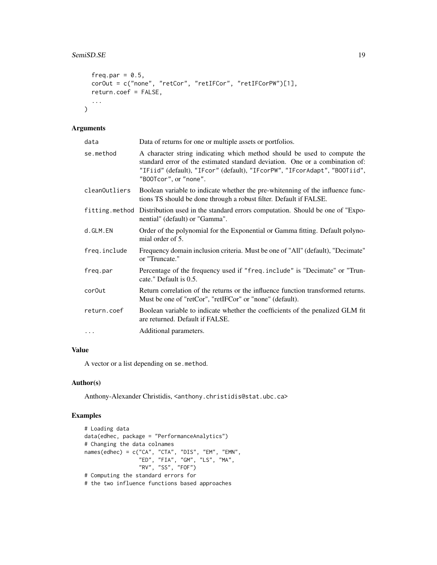```
freq.par = 0.5,
corOut = c("none", "retCor", "retIFCor", "retIFCorPW")[1],
return.coef = FALSE,
...
```
#### Arguments

 $\mathcal{L}$ 

| data               | Data of returns for one or multiple assets or portfolios.                                                                                                                                                                                                      |
|--------------------|----------------------------------------------------------------------------------------------------------------------------------------------------------------------------------------------------------------------------------------------------------------|
| se.method          | A character string indicating which method should be used to compute the<br>standard error of the estimated standard deviation. One or a combination of:<br>"IFiid" (default), "IFcor" (default), "IFcorPW", "IFcorAdapt", "BOOTiid",<br>"B00Tcor", or "none". |
| cleanOutliers      | Boolean variable to indicate whether the pre-whitenning of the influence func-<br>tions TS should be done through a robust filter. Default if FALSE.                                                                                                           |
|                    | fitting. method Distribution used in the standard errors computation. Should be one of "Expo-<br>nential" (default) or "Gamma".                                                                                                                                |
| d.GLM.EN           | Order of the polynomial for the Exponential or Gamma fitting. Default polyno-<br>mial order of 5.                                                                                                                                                              |
| freq.include       | Frequency domain inclusion criteria. Must be one of "All" (default), "Decimate"<br>or "Truncate."                                                                                                                                                              |
| freq.par           | Percentage of the frequency used if "freq.include" is "Decimate" or "Trun-<br>cate." Default is 0.5.                                                                                                                                                           |
| cor <sub>Out</sub> | Return correlation of the returns or the influence function transformed returns.<br>Must be one of "retCor", "retIFCor" or "none" (default).                                                                                                                   |
| return.coef        | Boolean variable to indicate whether the coefficients of the penalized GLM fit<br>are returned. Default if FALSE.                                                                                                                                              |
| $\cdots$           | Additional parameters.                                                                                                                                                                                                                                         |

#### Value

A vector or a list depending on se.method.

#### Author(s)

Anthony-Alexander Christidis, <anthony.christidis@stat.ubc.ca>

```
# Loading data
data(edhec, package = "PerformanceAnalytics")
# Changing the data colnames
names(edhec) = c("CA", "CTA", "DIS", "EM", "EMN",
                 "ED", "FIA", "GM", "LS", "MA",
                 "RV", "SS", "FOF")
# Computing the standard errors for
# the two influence functions based approaches
```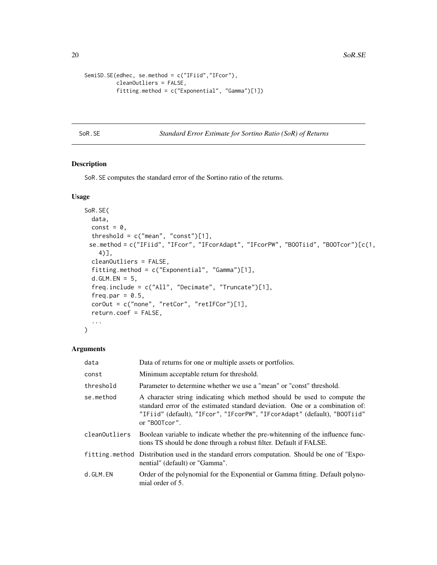```
SemiSD.SE(edhec, se.method = c("IFiid","IFcor"),
         cleanOutliers = FALSE,
          fitting.method = c("Exponential", "Gamma")[1])
```
SoR.SE *Standard Error Estimate for Sortino Ratio (SoR) of Returns*

#### Description

SoR.SE computes the standard error of the Sortino ratio of the returns.

#### Usage

```
SoR.SE(
  data,
  const = \theta,
  threshold = c("mean", "const")[1],se.method = c("IFiid", "IFcor", "IFcorAdapt", "IFcorPW", "BOOTiid", "BOOTcor")[c(1,
    4)],
  cleanOutliers = FALSE,
  fitting.method = c("Exponential", "Gamma")[1],
  d.GLM.EN = 5,
  freq.include = c("All", "Decimate", "Truncate")[1],
  freq.par = 0.5,
  corOut = c("none", "retCor", "retIFCor")[1],
  return.coef = FALSE,
  ...
\mathcal{L}
```

| data          | Data of returns for one or multiple assets or portfolios.                                                                                                                                                                                             |
|---------------|-------------------------------------------------------------------------------------------------------------------------------------------------------------------------------------------------------------------------------------------------------|
| const         | Minimum acceptable return for threshold.                                                                                                                                                                                                              |
| threshold     | Parameter to determine whether we use a "mean" or "const" threshold.                                                                                                                                                                                  |
| se.method     | A character string indicating which method should be used to compute the<br>standard error of the estimated standard deviation. One or a combination of:<br>"IFiid" (default), "IFcor", "IFcorPW", "IFcorAdapt" (default), "BOOTiid"<br>or "B00Tcor". |
| cleanOutliers | Boolean variable to indicate whether the pre-whitenning of the influence func-<br>tions TS should be done through a robust filter. Default if FALSE.                                                                                                  |
|               | fitting method Distribution used in the standard errors computation. Should be one of "Expo-<br>nential" (default) or "Gamma".                                                                                                                        |
| d.GLM.EN      | Order of the polynomial for the Exponential or Gamma fitting. Default polyno-<br>mial order of 5.                                                                                                                                                     |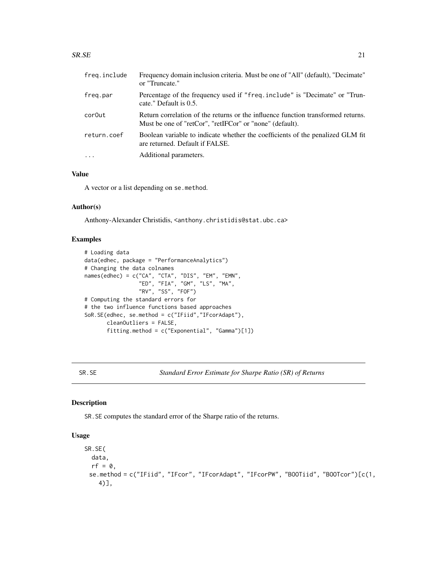#### <span id="page-20-0"></span> $S$ R.SE 21

| freg.include | Frequency domain inclusion criteria. Must be one of "All" (default), "Decimate"<br>or "Truncate."                                            |
|--------------|----------------------------------------------------------------------------------------------------------------------------------------------|
| freq.par     | Percentage of the frequency used if "freq.include" is "Decimate" or "Trun-<br>cate." Default is 0.5.                                         |
| cor0ut       | Return correlation of the returns or the influence function transformed returns.<br>Must be one of "retCor", "retIFCor" or "none" (default). |
| return.coef  | Boolean variable to indicate whether the coefficients of the penalized GLM fit<br>are returned. Default if FALSE.                            |
| $\cdots$     | Additional parameters.                                                                                                                       |
|              |                                                                                                                                              |

#### Value

A vector or a list depending on se.method.

#### Author(s)

Anthony-Alexander Christidis, <anthony.christidis@stat.ubc.ca>

#### Examples

```
# Loading data
data(edhec, package = "PerformanceAnalytics")
# Changing the data colnames
names(edhec) = c("CA", "CTA", "DIS", "EM", "EMN",
                 "ED", "FIA", "GM", "LS", "MA",
                 "RV", "SS", "FOF")
# Computing the standard errors for
# the two influence functions based approaches
SoR.SE(edhec, se.method = c("IFiid","IFcorAdapt"),
       cleanOutliers = FALSE,
       fitting.method = c("Exponential", "Gamma")[1])
```
SR.SE *Standard Error Estimate for Sharpe Ratio (SR) of Returns*

#### Description

SR.SE computes the standard error of the Sharpe ratio of the returns.

#### Usage

```
SR.SE(
  data,
  rf = 0,
 se.method = c("IFiid", "IFcor", "IFcorAdapt", "IFcorPW", "BOOTiid", "BOOTcor")[c(1,
    4)],
```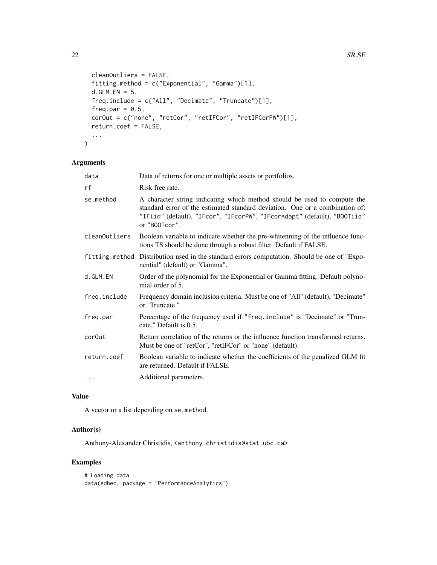```
cleanOutliers = FALSE,
fitting.method = c("Exponential", "Gamma")[1],
d.GLM.FN = 5,
freq.include = c("All", "Decimate", "Truncate")[1],
freq.par = 0.5,
corOut = c("none", "retCor", "retIFCor", "retIFCorPW")[1],
return.coef = FALSE,
...
```
#### Arguments

 $\mathcal{L}$ 

| data               | Data of returns for one or multiple assets or portfolios.                                                                                                                                                                                             |
|--------------------|-------------------------------------------------------------------------------------------------------------------------------------------------------------------------------------------------------------------------------------------------------|
| rf                 | Risk free rate.                                                                                                                                                                                                                                       |
| se.method          | A character string indicating which method should be used to compute the<br>standard error of the estimated standard deviation. One or a combination of:<br>"IFiid" (default), "IFcor", "IFcorPW", "IFcorAdapt" (default), "BOOTiid"<br>or "B00Tcor". |
| cleanOutliers      | Boolean variable to indicate whether the pre-whitenning of the influence func-<br>tions TS should be done through a robust filter. Default if FALSE.                                                                                                  |
|                    | fitting method Distribution used in the standard errors computation. Should be one of "Expo-<br>nential" (default) or "Gamma".                                                                                                                        |
| d.GLM.EN           | Order of the polynomial for the Exponential or Gamma fitting. Default polyno-<br>mial order of 5.                                                                                                                                                     |
| freq.include       | Frequency domain inclusion criteria. Must be one of "All" (default), "Decimate"<br>or "Truncate."                                                                                                                                                     |
| freq.par           | Percentage of the frequency used if "freq.include" is "Decimate" or "Trun-<br>cate." Default is 0.5.                                                                                                                                                  |
| cor <sub>Out</sub> | Return correlation of the returns or the influence function transformed returns.<br>Must be one of "retCor", "retIFCor" or "none" (default).                                                                                                          |
| return.coef        | Boolean variable to indicate whether the coefficients of the penalized GLM fit<br>are returned. Default if FALSE.                                                                                                                                     |
| $\cdots$           | Additional parameters.                                                                                                                                                                                                                                |

#### Value

A vector or a list depending on se.method.

#### Author(s)

Anthony-Alexander Christidis, <anthony.christidis@stat.ubc.ca>

```
# Loading data
data(edhec, package = "PerformanceAnalytics")
```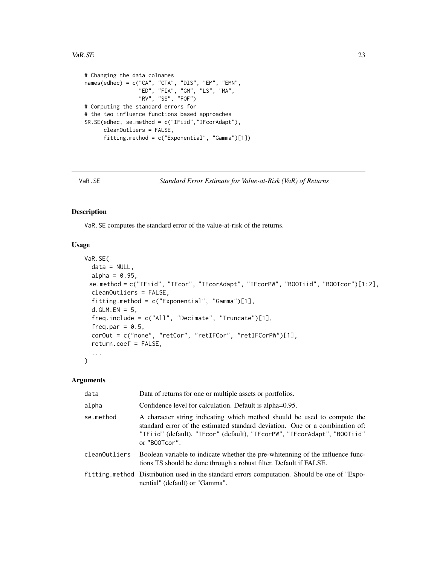#### <span id="page-22-0"></span>VaR.SE 23

```
# Changing the data colnames
names(edhec) = c("CA", "CTA", "DIS", "EM", "EMN",
                 "ED", "FIA", "GM", "LS", "MA",
                 "RV", "SS", "FOF")
# Computing the standard errors for
# the two influence functions based approaches
SR.SE(edhec, se.method = c("IFiid","IFcorAdapt"),
     cleanOutliers = FALSE,
     fitting.method = c("Exponential", "Gamma")[1])
```

```
VaR.SE Standard Error Estimate for Value-at-Risk (VaR) of Returns
```
#### Description

VaR.SE computes the standard error of the value-at-risk of the returns.

#### Usage

```
VaR.SE(
  data = NULL,
  alpha = 0.95,
 se.method = c("IFiid", "IFcor", "IFcorAdapt", "IFcorPW", "BOOTiid", "BOOTcor")[1:2],
  cleanOutliers = FALSE,
  fitting.method = c("Exponential", "Gamma")[1],
  d.GLM.EN = 5,
  freq.include = c("All", "Decimate", "Truncate")[1],
  freq.par = 0.5,
  corOut = c("none", "retCor", "retIFCor", "retIFCorPW")[1],
  return.coef = FALSE,
  ...
)
```

| data          | Data of returns for one or multiple assets or portfolios.                                                                                                                                                                                             |
|---------------|-------------------------------------------------------------------------------------------------------------------------------------------------------------------------------------------------------------------------------------------------------|
| alpha         | Confidence level for calculation. Default is alpha=0.95.                                                                                                                                                                                              |
| se.method     | A character string indicating which method should be used to compute the<br>standard error of the estimated standard deviation. One or a combination of:<br>"IFiid" (default), "IFcor" (default), "IFcorPW", "IFcorAdapt", "BOOTiid"<br>or "B00Tcor". |
| cleanOutliers | Boolean variable to indicate whether the pre-whitenning of the influence func-<br>tions TS should be done through a robust filter. Default if FALSE.                                                                                                  |
|               | fitting method Distribution used in the standard errors computation. Should be one of "Expo-<br>nential" (default) or "Gamma".                                                                                                                        |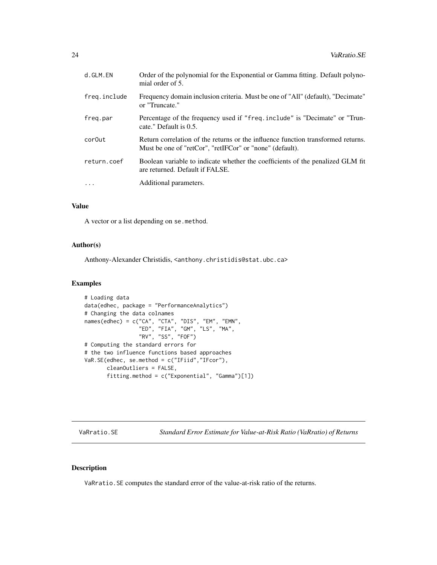<span id="page-23-0"></span>

| d.GLM.EN     | Order of the polynomial for the Exponential or Gamma fitting. Default polyno-<br>mial order of 5.                                            |
|--------------|----------------------------------------------------------------------------------------------------------------------------------------------|
| freq.include | Frequency domain inclusion criteria. Must be one of "All" (default), "Decimate"<br>or "Truncate."                                            |
| freq.par     | Percentage of the frequency used if "freq.include" is "Decimate" or "Trun-<br>cate." Default is 0.5.                                         |
| cor0ut       | Return correlation of the returns or the influence function transformed returns.<br>Must be one of "retCor", "retIFCor" or "none" (default). |
| return.coef  | Boolean variable to indicate whether the coefficients of the penalized GLM fit<br>are returned. Default if FALSE.                            |
| $\ddots$     | Additional parameters.                                                                                                                       |
|              |                                                                                                                                              |

#### Value

A vector or a list depending on se.method.

#### Author(s)

Anthony-Alexander Christidis, <anthony.christidis@stat.ubc.ca>

#### Examples

```
# Loading data
data(edhec, package = "PerformanceAnalytics")
# Changing the data colnames
names(edhec) = c("CA", "CTA", "DIS", "EM", "EMN",
                 "ED", "FIA", "GM", "LS", "MA",
                 "RV", "SS", "FOF")
# Computing the standard errors for
# the two influence functions based approaches
VaR.SE(edhec, se.method = c("IFiid","IFcor"),
      cleanOutliers = FALSE,
      fitting.method = c("Exponential", "Gamma")[1])
```
VaRratio.SE *Standard Error Estimate for Value-at-Risk Ratio (VaRratio) of Returns*

#### Description

VaRratio.SE computes the standard error of the value-at-risk ratio of the returns.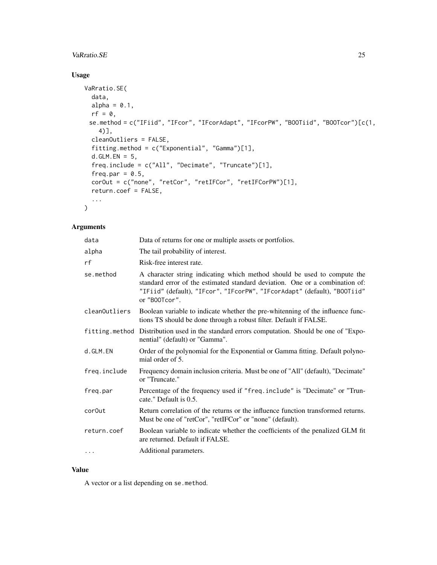#### VaRratio.SE 25

#### Usage

```
VaRratio.SE(
  data,
  alpha = 0.1,
  rf = 0,se.method = c("IFiid", "IFcor", "IFcorAdapt", "IFcorPW", "BOOTiid", "BOOTcor")[c(1,
    4)],
  cleanOutliers = FALSE,
  fitting.method = c("Exponential", "Gamma")[1],
  d.GLM.FN = 5,
  freq.include = c("All", "Decimate", "Truncate")[1],
  freq.par = 0.5,
  corOut = c("none", "retCor", "retIFCor", "retIFCorPW")[1],
  return.coef = FALSE,
  ...
\mathcal{L}
```
#### Arguments

| data          | Data of returns for one or multiple assets or portfolios.                                                                                                                                                                                             |
|---------------|-------------------------------------------------------------------------------------------------------------------------------------------------------------------------------------------------------------------------------------------------------|
| alpha         | The tail probability of interest.                                                                                                                                                                                                                     |
| rf            | Risk-free interest rate.                                                                                                                                                                                                                              |
| se.method     | A character string indicating which method should be used to compute the<br>standard error of the estimated standard deviation. One or a combination of:<br>"IFiid" (default), "IFcor", "IFcorPW", "IFcorAdapt" (default), "BOOTiid"<br>or "B00Tcor". |
| cleanOutliers | Boolean variable to indicate whether the pre-whitenning of the influence func-<br>tions TS should be done through a robust filter. Default if FALSE.                                                                                                  |
|               | fitting method Distribution used in the standard errors computation. Should be one of "Expo-<br>nential" (default) or "Gamma".                                                                                                                        |
| d.GLM.EN      | Order of the polynomial for the Exponential or Gamma fitting. Default polyno-<br>mial order of 5.                                                                                                                                                     |
| freq.include  | Frequency domain inclusion criteria. Must be one of "All" (default), "Decimate"<br>or "Truncate."                                                                                                                                                     |
| freq.par      | Percentage of the frequency used if "freq.include" is "Decimate" or "Trun-<br>cate." Default is 0.5.                                                                                                                                                  |
| cor0ut        | Return correlation of the returns or the influence function transformed returns.<br>Must be one of "retCor", "retIFCor" or "none" (default).                                                                                                          |
| return.coef   | Boolean variable to indicate whether the coefficients of the penalized GLM fit<br>are returned. Default if FALSE.                                                                                                                                     |
| $\ddots$      | Additional parameters.                                                                                                                                                                                                                                |

#### Value

A vector or a list depending on se.method.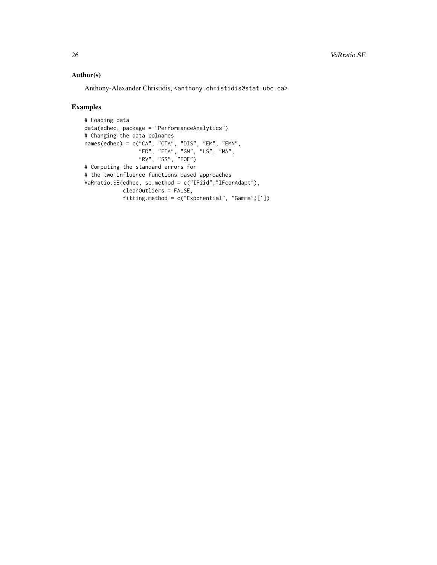#### Author(s)

Anthony-Alexander Christidis, <anthony.christidis@stat.ubc.ca>

```
# Loading data
data(edhec, package = "PerformanceAnalytics")
# Changing the data colnames
names(edhec) = c("CA", "CTA", "DIS", "EM", "EMN",
                 "ED", "FIA", "GM", "LS", "MA",
                 "RV", "SS", "FOF")
# Computing the standard errors for
# the two influence functions based approaches
VaRratio.SE(edhec, se.method = c("IFiid","IFcorAdapt"),
           cleanOutliers = FALSE,
            fitting.method = c("Exponential", "Gamma")[1])
```